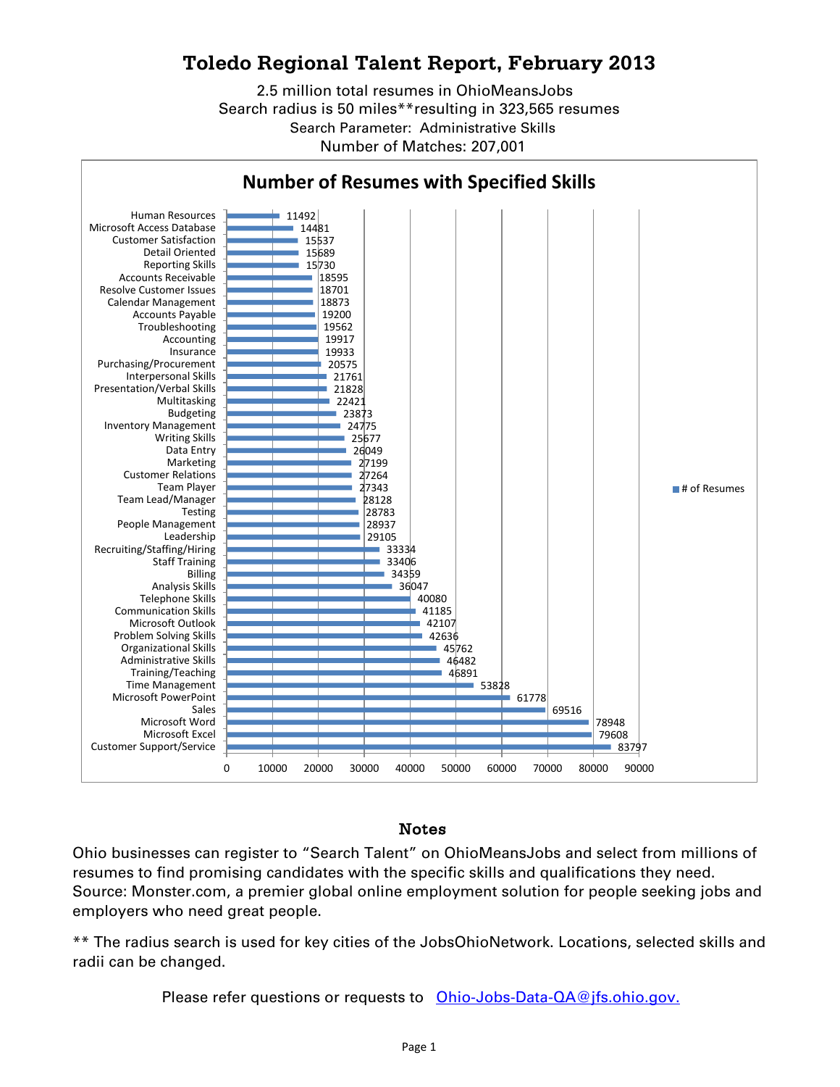## **Toledo Regional Talent Report, February 2013**

2.5 million total resumes in OhioMeansJobs Search radius is 50 miles\*\*resulting in 323,565 resumes Search Parameter: Administrative Skills Number of Matches: 207,001



## Notes

Ohio businesses can register to "Search Talent" on OhioMeansJobs and select from millions of resumes to find promising candidates with the specific skills and qualifications they need. Source: Monster.com, a premier global online employment solution for people seeking jobs and employers who need great people.

\*\* The radius search is used for key cities of the JobsOhioNetwork. Locations, selected skills and radii can be changed.

Please refer questions or requests to [Ohio-Jobs-Data-QA@jfs.ohio.gov.](mailto:Ohio-Jobs-Data-QA@jfs.ohio.gov.)